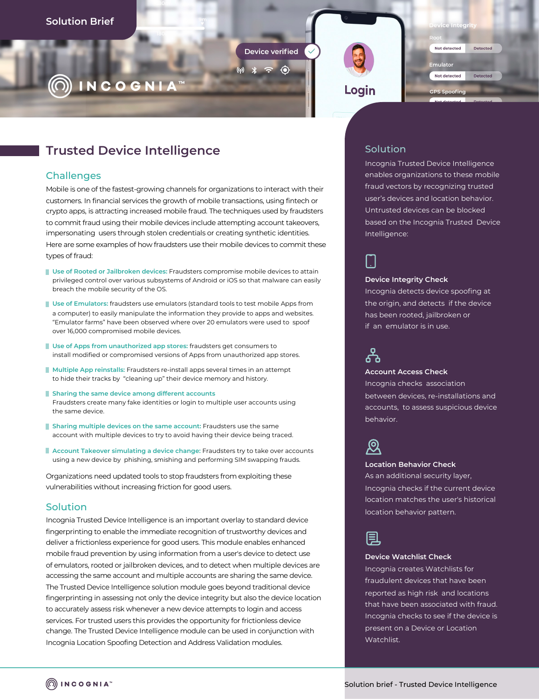Device verified

 $* = 0$ 



# **Trusted Device Intelligence**

## **Challenges**

Mobile is one of the fastest-growing channels for organizations to interact with their customers. In financial services the growth of mobile transactions, using fintech or crypto apps, is attracting increased mobile fraud. The techniques used by fraudsters to commit fraud using their mobile devices include attempting account takeovers, impersonating users through stolen credentials or creating synthetic identities.

Here are some examples of how fraudsters use their mobile devices to commit these types of fraud:

- **Use of Rooted or Jailbroken devices:** Fraudsters compromise mobile devices to attain privileged control over various subsystems of Android or iOS so that malware can easily breach the mobile security of the OS.
- **Use of Emulators: fraudsters use emulators (standard tools to test mobile Apps from** a computer) to easily manipulate the information they provide to apps and websites. "Emulator farms" have been observed where over 20 emulators were used to spoof over 16,000 compromised mobile devices.
- **Use of Apps from unauthorized app stores:** fraudsters get consumers to install modified or compromised versions of Apps from unauthorized app stores.
- **Multiple App reinstalls:** Fraudsters re-install apps several times in an attempt to hide their tracks by "cleaning up" their device memory and history.
- **Sharing the same device among different accounts** Fraudsters create many fake identities or login to multiple user accounts using the same device.
- **Sharing multiple devices on the same account: Fraudsters use the same** account with multiple devices to try to avoid having their device being traced.
- **Account Takeover simulating a device change:** Fraudsters try to take over accounts using a new device by phishing, smishing and performing SIM swapping frauds.

Organizations need updated tools to stop fraudsters from exploiting these vulnerabilities without increasing friction for good users.

## Solution

Incognia Trusted Device Intelligence is an important overlay to standard device fingerprinting to enable the immediate recognition of trustworthy devices and deliver a frictionless experience for good users. This module enables enhanced mobile fraud prevention by using information from a user's device to detect use of emulators, rooted or jailbroken devices, and to detect when multiple devices are accessing the same account and multiple accounts are sharing the same device. The Trusted Device Intelligence solution module goes beyond traditional device fingerprinting in assessing not only the device integrity but also the device location to accurately assess risk whenever a new device attempts to login and access services. For trusted users this provides the opportunity for frictionless device change. The Trusted Device Intelligence module can be used in conjunction with Incognia Location Spoofing Detection and Address Validation modules.

# Solution

Loain

Incognia Trusted Device Intelligence enables organizations to these mobile fraud vectors by recognizing trusted user's devices and location behavior. Untrusted devices can be blocked based on the Incognia Trusted Device Intelligence:

**Integrit** 

Detected

Detected

Not detected

Not detected

**GPS Spoofing** 

Emulator

#### **Device Integrity Check**

Incognia detects device spoofing at the origin, and detects if the device has been rooted, jailbroken or if an emulator is in use.



#### **Account Access Check**

Incognia checks association between devices, re-installations and accounts, to assess suspicious device behavior.



#### **Location Behavior Check**

As an additional security layer, Incognia checks if the current device location matches the user's historical location behavior pattern.



## **Device Watchlist Check**

Incognia creates Watchlists for fraudulent devices that have been reported as high risk and locations that have been associated with fraud. Incognia checks to see if the device is present on a Device or Location Watchlist.

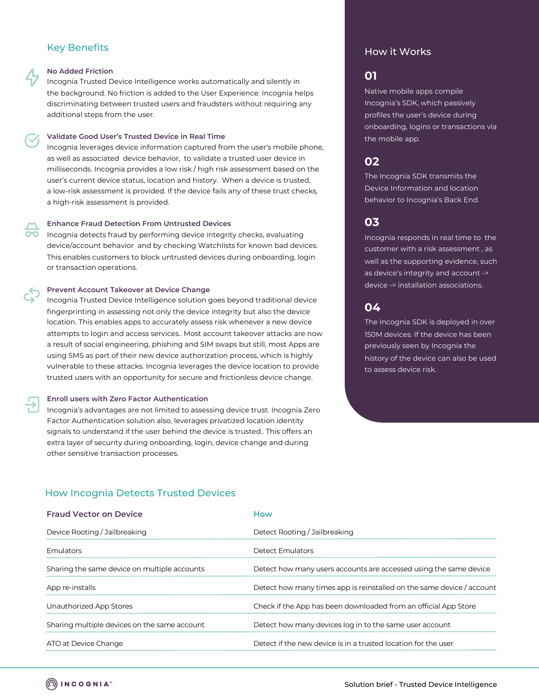# Key Benefits

### **No Added Friction**

Incognia Trusted Device Intelligence works automatically and silently in the background. No friction is added to the User Experience: Incognia helps discriminating between trusted users and fraudsters without requiring any additional steps from the user.

### **Validate Good User's Trusted Device in Real Time**

Incognia leverages device information captured from the user's mobile phone, as well as associated device behavior, to validate a trusted user device in milliseconds. Incognia provides a low risk / high risk assessment based on the user's current device status, location and history. When a device is trusted, a low-risk assessment is provided. If the device fails any of these trust checks, a high-risk assessment is provided.

## **Enhance Fraud Detection From Untrusted Devices**

Incognia detects fraud by performing device integrity checks, evaluating device/account behavior and by checking Watchlists for known bad devices. This enables customers to block untrusted devices during onboarding, login or transaction operations.

### **Prevent Account Takeover at Device Change**

Incognia Trusted Device Intelligence solution goes beyond traditional device fingerprinting in assessing not only the device integrity but also the device location. This enables apps to accurately assess risk whenever a new device attempts to login and access services.. Most account takeover attacks are now a result of social engineering, phishing and SIM swaps but still, most Apps are using SMS as part of their new device authorization process, which is highly vulnerable to these attacks. Incognia leverages the device location to provide trusted users with an opportunity for secure and frictionless device change.

## **Enroll users with Zero Factor Authentication**

Incognia's advantages are not limited to assessing device trust. Incognia Zero Factor Authentication solution also, leverages privatized location identity signals to understand if the user behind the device is trusted.. This offers an extra layer of security during onboarding, login, device change and during other sensitive transaction processes.

## How it Works

# **01**

Native mobile apps compile Incognia's SDK, which passively profiles the user's device during onboarding, logins or transactions via the mobile app.

# **02**

The Incognia SDK transmits the Device Information and location behavior to Incognia's Back End.

# **03**

Incognia responds in real time to the customer with a risk assessment , as well as the supporting evidence, such as device's integrity and account -> device -> installation associations.

# **04**

The Incognia SDK is deployed in over 150M devices. If the device has been previously seen by Incognia the history of the device can also be used to assess device risk.

# How Incognia Detects Trusted Devices

| <b>Fraud Vector on Device</b>                | <b>How</b>                                                            |
|----------------------------------------------|-----------------------------------------------------------------------|
| Device Rooting / Jailbreaking                | Detect Rooting / Jailbreaking                                         |
| <b>Emulators</b>                             | Detect Emulators                                                      |
| Sharing the same device on multiple accounts | Detect how many users accounts are accessed using the same device     |
| App re-installs                              | Detect how many times app is reinstalled on the same device / account |
| Unauthorized App Stores                      | Check if the App has been downloaded from an official App Store       |
| Sharing multiple devices on the same account | Detect how many devices log in to the same user account               |
| ATO at Device Change                         | Detect if the new device is in a trusted location for the user        |